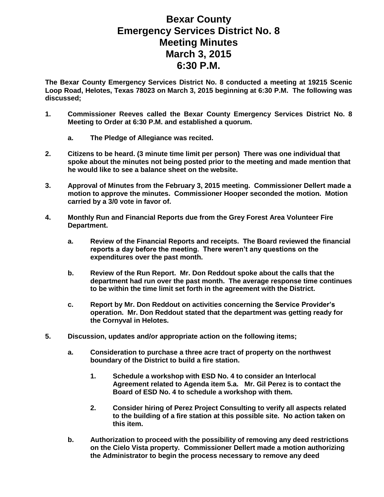## **Bexar County Emergency Services District No. 8 Meeting Minutes March 3, 2015 6:30 P.M.**

**The Bexar County Emergency Services District No. 8 conducted a meeting at 19215 Scenic Loop Road, Helotes, Texas 78023 on March 3, 2015 beginning at 6:30 P.M. The following was discussed;**

- **1. Commissioner Reeves called the Bexar County Emergency Services District No. 8 Meeting to Order at 6:30 P.M. and established a quorum.** 
	- **a. The Pledge of Allegiance was recited.**
- **2. Citizens to be heard. (3 minute time limit per person) There was one individual that spoke about the minutes not being posted prior to the meeting and made mention that he would like to see a balance sheet on the website.**
- **3. Approval of Minutes from the February 3, 2015 meeting. Commissioner Dellert made a motion to approve the minutes. Commissioner Hooper seconded the motion. Motion carried by a 3/0 vote in favor of.**
- **4. Monthly Run and Financial Reports due from the Grey Forest Area Volunteer Fire Department.**
	- **a. Review of the Financial Reports and receipts. The Board reviewed the financial reports a day before the meeting. There weren't any questions on the expenditures over the past month.**
	- **b. Review of the Run Report. Mr. Don Reddout spoke about the calls that the department had run over the past month. The average response time continues to be within the time limit set forth in the agreement with the District.**
	- **c. Report by Mr. Don Reddout on activities concerning the Service Provider's operation. Mr. Don Reddout stated that the department was getting ready for the Cornyval in Helotes.**
- **5. Discussion, updates and/or appropriate action on the following items;**
	- **a. Consideration to purchase a three acre tract of property on the northwest boundary of the District to build a fire station.**
		- **1. Schedule a workshop with ESD No. 4 to consider an Interlocal Agreement related to Agenda item 5.a. Mr. Gil Perez is to contact the Board of ESD No. 4 to schedule a workshop with them.**
		- **2. Consider hiring of Perez Project Consulting to verify all aspects related to the building of a fire station at this possible site. No action taken on this item.**
	- **b. Authorization to proceed with the possibility of removing any deed restrictions on the Cielo Vista property. Commissioner Dellert made a motion authorizing the Administrator to begin the process necessary to remove any deed**